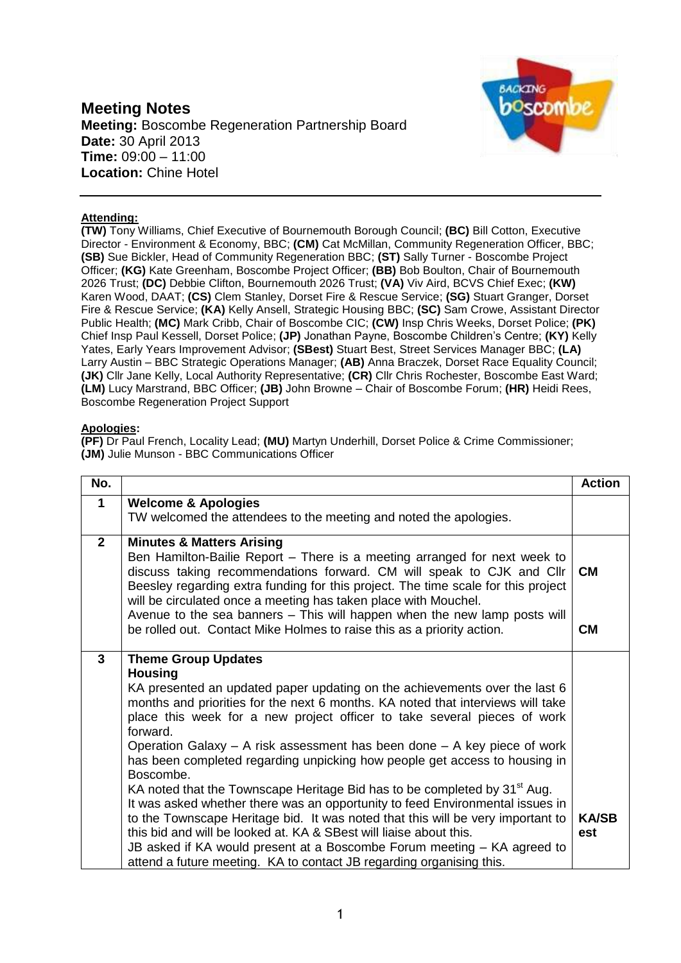## **Meeting Notes Meeting:** Boscombe Regeneration Partnership Board **Date:** 30 April 2013 **Time:** 09:00 – 11:00 **Location:** Chine Hotel



## **Attending:**

**(TW)** Tony Williams, Chief Executive of Bournemouth Borough Council; **(BC)** Bill Cotton, Executive Director - Environment & Economy, BBC; **(CM)** Cat McMillan, Community Regeneration Officer, BBC; **(SB)** Sue Bickler, Head of Community Regeneration BBC; **(ST)** Sally Turner - Boscombe Project Officer; **(KG)** Kate Greenham, Boscombe Project Officer; **(BB)** Bob Boulton, Chair of Bournemouth 2026 Trust; **(DC)** Debbie Clifton, Bournemouth 2026 Trust; **(VA)** Viv Aird, BCVS Chief Exec; **(KW)** Karen Wood, DAAT; **(CS)** Clem Stanley, Dorset Fire & Rescue Service; **(SG)** Stuart Granger, Dorset Fire & Rescue Service; **(KA)** Kelly Ansell, Strategic Housing BBC; **(SC)** Sam Crowe, Assistant Director Public Health; **(MC)** Mark Cribb, Chair of Boscombe CIC; **(CW)** Insp Chris Weeks, Dorset Police; **(PK)**  Chief Insp Paul Kessell, Dorset Police; **(JP)** Jonathan Payne, Boscombe Children's Centre; **(KY)** Kelly Yates, Early Years Improvement Advisor; **(SBest)** Stuart Best, Street Services Manager BBC; **(LA)** Larry Austin – BBC Strategic Operations Manager; **(AB)** Anna Braczek, Dorset Race Equality Council; **(JK)** Cllr Jane Kelly, Local Authority Representative; **(CR)** Cllr Chris Rochester, Boscombe East Ward; **(LM)** Lucy Marstrand, BBC Officer; **(JB)** John Browne – Chair of Boscombe Forum; **(HR)** Heidi Rees, Boscombe Regeneration Project Support

## **Apologies:**

**(PF)** Dr Paul French, Locality Lead; **(MU)** Martyn Underhill, Dorset Police & Crime Commissioner; **(JM)** Julie Munson - BBC Communications Officer

| No.            |                                                                                                                                                                                                                                                                                                                                                    | <b>Action</b> |
|----------------|----------------------------------------------------------------------------------------------------------------------------------------------------------------------------------------------------------------------------------------------------------------------------------------------------------------------------------------------------|---------------|
| $\mathbf 1$    | <b>Welcome &amp; Apologies</b>                                                                                                                                                                                                                                                                                                                     |               |
|                | TW welcomed the attendees to the meeting and noted the apologies.                                                                                                                                                                                                                                                                                  |               |
| $\overline{2}$ | <b>Minutes &amp; Matters Arising</b><br>Ben Hamilton-Bailie Report – There is a meeting arranged for next week to<br>discuss taking recommendations forward. CM will speak to CJK and Cllr<br>Beesley regarding extra funding for this project. The time scale for this project<br>will be circulated once a meeting has taken place with Mouchel. | <b>CM</b>     |
|                | Avenue to the sea banners - This will happen when the new lamp posts will<br>be rolled out. Contact Mike Holmes to raise this as a priority action.                                                                                                                                                                                                | CМ            |
| 3              | <b>Theme Group Updates</b>                                                                                                                                                                                                                                                                                                                         |               |
|                | <b>Housing</b>                                                                                                                                                                                                                                                                                                                                     |               |
|                | KA presented an updated paper updating on the achievements over the last 6<br>months and priorities for the next 6 months. KA noted that interviews will take<br>place this week for a new project officer to take several pieces of work<br>forward.                                                                                              |               |
|                | Operation Galaxy $-$ A risk assessment has been done $-$ A key piece of work<br>has been completed regarding unpicking how people get access to housing in<br>Boscombe.                                                                                                                                                                            |               |
|                | KA noted that the Townscape Heritage Bid has to be completed by 31 <sup>st</sup> Aug.<br>It was asked whether there was an opportunity to feed Environmental issues in                                                                                                                                                                             |               |
|                | to the Townscape Heritage bid. It was noted that this will be very important to                                                                                                                                                                                                                                                                    | <b>KA/SB</b>  |
|                | this bid and will be looked at. KA & SBest will liaise about this.<br>JB asked if KA would present at a Boscombe Forum meeting – KA agreed to<br>attend a future meeting. KA to contact JB regarding organising this.                                                                                                                              | est           |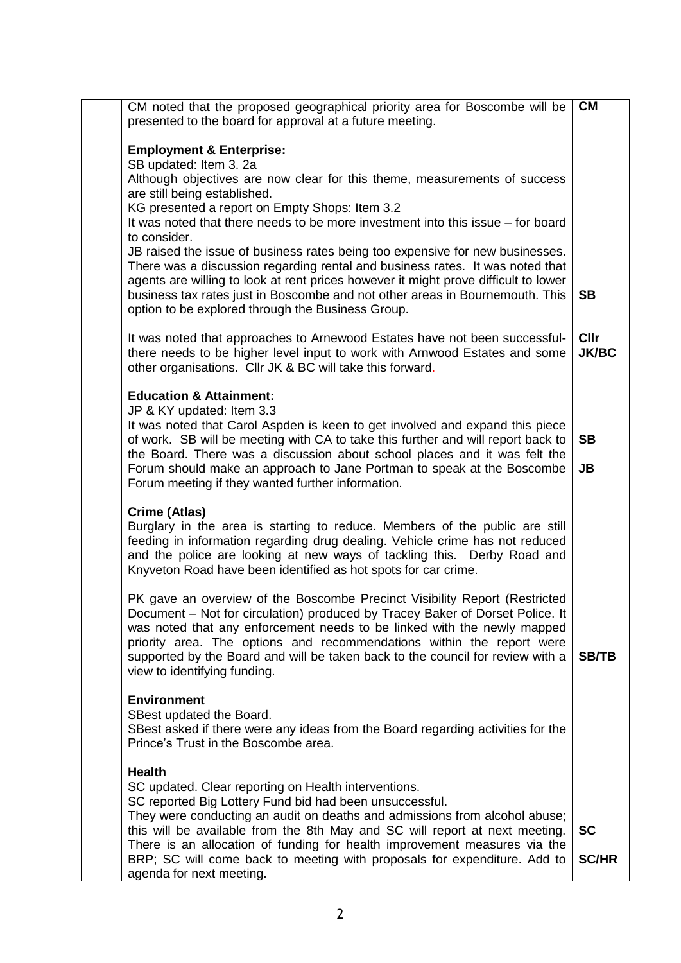| CM noted that the proposed geographical priority area for Boscombe will be<br>presented to the board for approval at a future meeting.                                                                                                                                                                                                                                                                                                                                                                                                                                                   | <b>CM</b>                |
|------------------------------------------------------------------------------------------------------------------------------------------------------------------------------------------------------------------------------------------------------------------------------------------------------------------------------------------------------------------------------------------------------------------------------------------------------------------------------------------------------------------------------------------------------------------------------------------|--------------------------|
| <b>Employment &amp; Enterprise:</b><br>SB updated: Item 3. 2a<br>Although objectives are now clear for this theme, measurements of success<br>are still being established.<br>KG presented a report on Empty Shops: Item 3.2<br>It was noted that there needs to be more investment into this issue – for board<br>to consider.<br>JB raised the issue of business rates being too expensive for new businesses.<br>There was a discussion regarding rental and business rates. It was noted that<br>agents are willing to look at rent prices however it might prove difficult to lower |                          |
| business tax rates just in Boscombe and not other areas in Bournemouth. This<br>option to be explored through the Business Group.<br>It was noted that approaches to Arnewood Estates have not been successful-                                                                                                                                                                                                                                                                                                                                                                          | <b>SB</b><br><b>Cllr</b> |
| there needs to be higher level input to work with Arnwood Estates and some<br>other organisations. Cllr JK & BC will take this forward.                                                                                                                                                                                                                                                                                                                                                                                                                                                  | <b>JK/BC</b>             |
| <b>Education &amp; Attainment:</b><br>JP & KY updated: Item 3.3<br>It was noted that Carol Aspden is keen to get involved and expand this piece<br>of work. SB will be meeting with CA to take this further and will report back to<br>the Board. There was a discussion about school places and it was felt the<br>Forum should make an approach to Jane Portman to speak at the Boscombe<br>Forum meeting if they wanted further information.                                                                                                                                          | <b>SB</b><br><b>JB</b>   |
| Crime (Atlas)<br>Burglary in the area is starting to reduce. Members of the public are still<br>feeding in information regarding drug dealing. Vehicle crime has not reduced<br>and the police are looking at new ways of tackling this. Derby Road and<br>Knyveton Road have been identified as hot spots for car crime.                                                                                                                                                                                                                                                                |                          |
| PK gave an overview of the Boscombe Precinct Visibility Report (Restricted<br>Document - Not for circulation) produced by Tracey Baker of Dorset Police. It<br>was noted that any enforcement needs to be linked with the newly mapped<br>priority area. The options and recommendations within the report were<br>supported by the Board and will be taken back to the council for review with a<br>view to identifying funding.                                                                                                                                                        | <b>SB/TB</b>             |
| <b>Environment</b><br>SBest updated the Board.<br>SBest asked if there were any ideas from the Board regarding activities for the<br>Prince's Trust in the Boscombe area.                                                                                                                                                                                                                                                                                                                                                                                                                |                          |
| <b>Health</b><br>SC updated. Clear reporting on Health interventions.<br>SC reported Big Lottery Fund bid had been unsuccessful.<br>They were conducting an audit on deaths and admissions from alcohol abuse;<br>this will be available from the 8th May and SC will report at next meeting.                                                                                                                                                                                                                                                                                            | <b>SC</b>                |
| There is an allocation of funding for health improvement measures via the<br>BRP; SC will come back to meeting with proposals for expenditure. Add to<br>agenda for next meeting.                                                                                                                                                                                                                                                                                                                                                                                                        | <b>SC/HR</b>             |